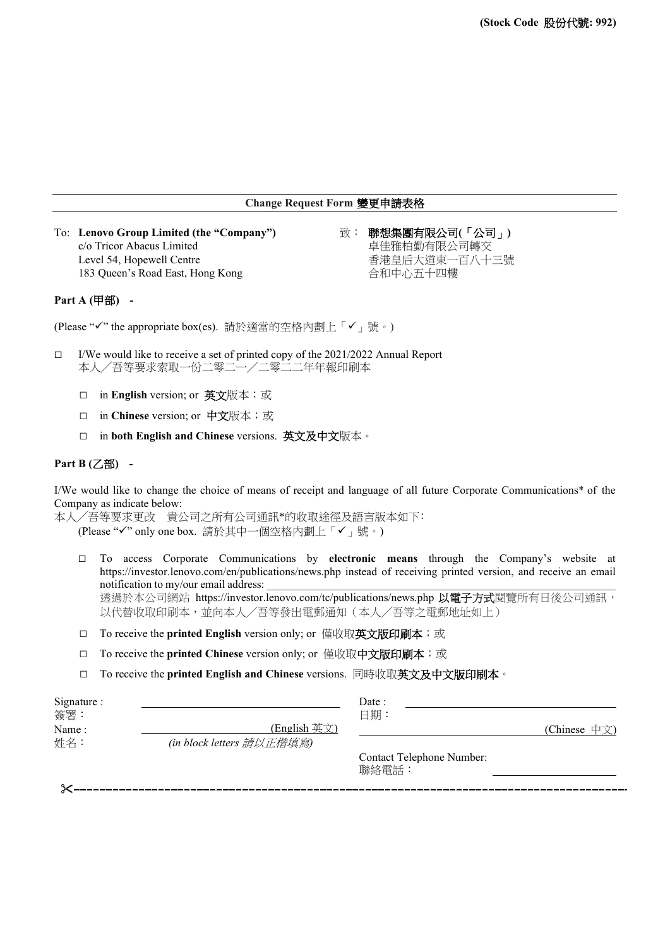# **Change Request Form** 變更申請表格

To: **Lenovo Group Limited (the "Company")** 致: 聯想集團有限公司**(**「公司」**)** c/o Tricor Abacus Limited 卓佳雅柏勤有限公司轉交 Level 54, Hopewell Centre **Example 20** and the research of the research of the research of the set of the research  $\overline{a}$ 183 Queen's Road East, Hong Kong http://www.children.com/display/display/display/

### **Part A (**甲部**) -**

(Please "√" the appropriate box(es). 請於適當的空格內劃上「√」號。)

- $\Box$  I/We would like to receive a set of printed copy of the 2021/2022 Annual Report 本人╱吾等要求索取一份二零二一╱二零二二年年報印刷本
	- □ in **English** version; or 英文版本;或
	- □ in **Chinese** version; or 中文版本;或
	- in **both English and Chinese** versions. 英文及中文版本。

### **Part B (**乙部**) -**

I/We would like to change the choice of means of receipt and language of all future Corporate Communications\* of the Company as indicate below:

本人/吾等要求更改 貴公司之所有公司通訊\*的收取途徑及語言版本如下: (Please "√" only one box. 請於其中一個空格內劃上「√」號。)

- To access Corporate Communications by **electronic means** through the Company's website at <https://investor.lenovo.com/en/publications/news.php> instead of receiving printed version, and receive an email notification to my/our email address: 透過於本公司網站 <https://investor.lenovo.com/tc/publications/news.php> 以電子方式閱覽所有日後公司通訊, 以代替收取印刷本,並向本人╱吾等發出電郵通知(本人╱吾等之電郵地址如上)
- □ To receive the **printed English** version only; or 僅收取**英文版印刷本**; 或
- □ To receive the **printed Chinese** version only; or 僅收取**中文版印刷本**;或
- To receive the **printed English and Chinese** versions. 同時收取英文及中文版印刷本。

| Signature:    |                                           | Date:                                     |              |
|---------------|-------------------------------------------|-------------------------------------------|--------------|
| 簽署:           |                                           | 日期:                                       |              |
| Name :<br>姓名: | (English 英文)<br>(in block letters 請以正楷填寫) |                                           | (Chinese 中文) |
|               |                                           | <b>Contact Telephone Number:</b><br>聯絡電話: |              |
|               |                                           |                                           |              |